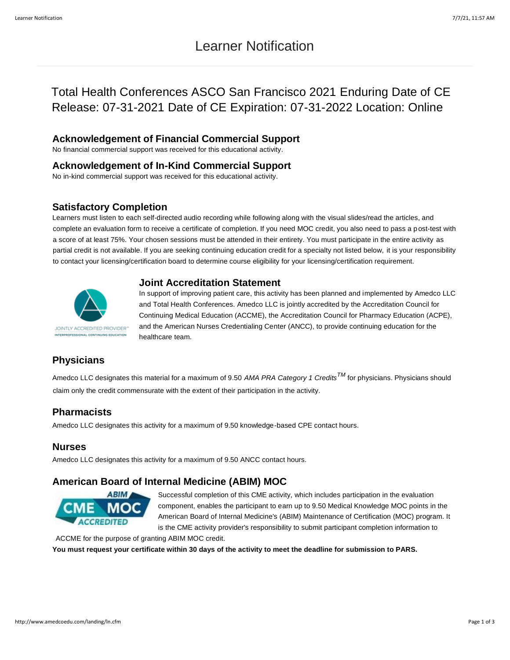# Learner Notification

# Total Health Conferences ASCO San Francisco 2021 Enduring Date of CE Release: 07-31-2021 Date of CE Expiration: 07-31-2022 Location: Online

### **Acknowledgement of Financial Commercial Support**

No financial commercial support was received for this educational activity.

#### **Acknowledgement of In-Kind Commercial Support**

No in-kind commercial support was received for this educational activity.

### **Satisfactory Completion**

Learners must listen to each self-directed audio recording while following along with the visual slides/read the articles, and complete an evaluation form to receive a certificate of completion. If you need MOC credit, you also need to pass a post-test with a score of at least 75%. Your chosen sessions must be attended in their entirety. You must participate in the entire activity as partial credit is not available. If you are seeking continuing education credit for a specialty not listed below, it is your responsibility to contact your licensing/certification board to determine course eligibility for your licensing/certification requirement.

### **Joint Accreditation Statement**



In support of improving patient care, this activity has been planned and implemented by Amedco LLC and Total Health Conferences. Amedco LLC is jointly accredited by the Accreditation Council for Continuing Medical Education (ACCME), the Accreditation Council for Pharmacy Education (ACPE), and the American Nurses Credentialing Center (ANCC), to provide continuing education for the healthcare team.

## **Physicians**

Amedco LLC designates this material for a maximum of 9.50 *AMA PRA Category 1 CreditsTM* for physicians. Physicians should claim only the credit commensurate with the extent of their participation in the activity.

### **Pharmacists**

Amedco LLC designates this activity for a maximum of 9.50 knowledge-based CPE contact hours.

### **Nurses**

Amedco LLC designates this activity for a maximum of 9.50 ANCC contact hours.

### **American Board of Internal Medicine (ABIM) MOC**



Successful completion of this CME activity, which includes participation in the evaluation component, enables the participant to earn up to 9.50 Medical Knowledge MOC points in the American Board of Internal Medicine's (ABIM) Maintenance of Certification (MOC) program. It is the CME activity provider's responsibility to submit participant completion information to

ACCME for the purpose of granting ABIM MOC credit. **You must request your certificate within 30 days of the activity to meet the deadline for submission to PARS.**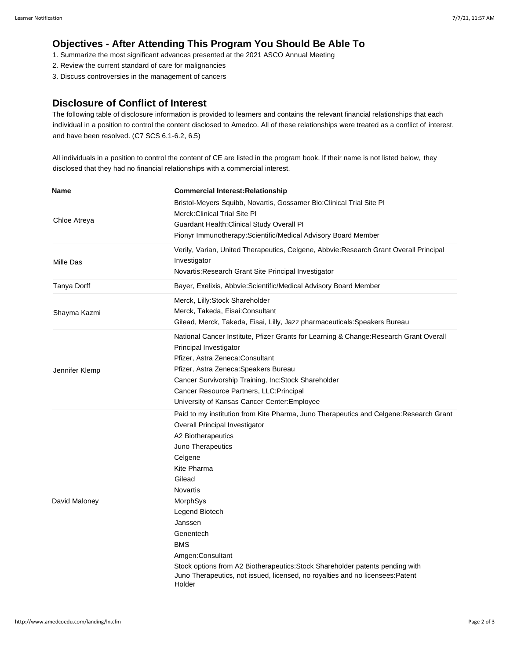## **Objectives - After Attending This Program You Should Be Able To**

- 1. Summarize the most significant advances presented at the 2021 ASCO Annual Meeting
- 2. Review the current standard of care for malignancies
- 3. Discuss controversies in the management of cancers

### **Disclosure of Conflict of Interest**

The following table of disclosure information is provided to learners and contains the relevant financial relationships that each individual in a position to control the content disclosed to Amedco. All of these relationships were treated as a conflict of interest, and have been resolved. (C7 SCS 6.1-6.2, 6.5)

All individuals in a position to control the content of CE are listed in the program book. If their name is not listed below, they disclosed that they had no financial relationships with a commercial interest.

| Name           | <b>Commercial Interest: Relationship</b>                                                                                                                                                                                                                                                                                                                                                                                                                                                 |
|----------------|------------------------------------------------------------------------------------------------------------------------------------------------------------------------------------------------------------------------------------------------------------------------------------------------------------------------------------------------------------------------------------------------------------------------------------------------------------------------------------------|
| Chloe Atreya   | Bristol-Meyers Squibb, Novartis, Gossamer Bio: Clinical Trial Site PI<br>Merck: Clinical Trial Site PI<br>Guardant Health: Clinical Study Overall PI                                                                                                                                                                                                                                                                                                                                     |
|                | Pionyr Immunotherapy: Scientific/Medical Advisory Board Member                                                                                                                                                                                                                                                                                                                                                                                                                           |
| Mille Das      | Verily, Varian, United Therapeutics, Celgene, Abbvie: Research Grant Overall Principal<br>Investigator<br>Novartis: Research Grant Site Principal Investigator                                                                                                                                                                                                                                                                                                                           |
| Tanya Dorff    | Bayer, Exelixis, Abbvie: Scientific/Medical Advisory Board Member                                                                                                                                                                                                                                                                                                                                                                                                                        |
| Shayma Kazmi   | Merck, Lilly:Stock Shareholder<br>Merck, Takeda, Eisai:Consultant<br>Gilead, Merck, Takeda, Eisai, Lilly, Jazz pharmaceuticals: Speakers Bureau                                                                                                                                                                                                                                                                                                                                          |
| Jennifer Klemp | National Cancer Institute, Pfizer Grants for Learning & Change: Research Grant Overall<br>Principal Investigator<br>Pfizer, Astra Zeneca: Consultant<br>Pfizer, Astra Zeneca: Speakers Bureau<br>Cancer Survivorship Training, Inc: Stock Shareholder<br>Cancer Resource Partners, LLC: Principal<br>University of Kansas Cancer Center: Employee                                                                                                                                        |
| David Maloney  | Paid to my institution from Kite Pharma, Juno Therapeutics and Celgene: Research Grant<br>Overall Principal Investigator<br>A2 Biotherapeutics<br>Juno Therapeutics<br>Celgene<br>Kite Pharma<br>Gilead<br>Novartis<br>MorphSys<br>Legend Biotech<br>Janssen<br>Genentech<br><b>BMS</b><br>Amgen: Consultant<br>Stock options from A2 Biotherapeutics: Stock Shareholder patents pending with<br>Juno Therapeutics, not issued, licensed, no royalties and no licensees:Patent<br>Holder |